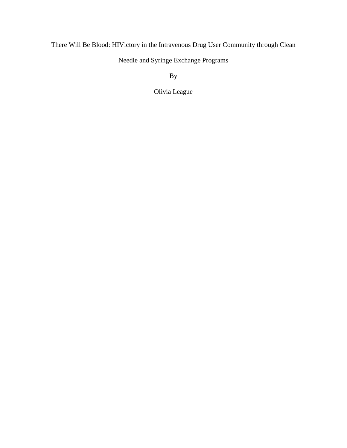# There Will Be Blood: HIVictory in the Intravenous Drug User Community through Clean

Needle and Syringe Exchange Programs

By

Olivia League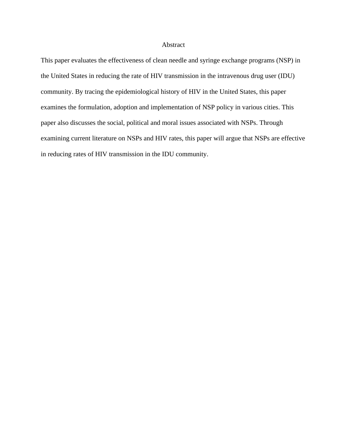## Abstract

This paper evaluates the effectiveness of clean needle and syringe exchange programs (NSP) in the United States in reducing the rate of HIV transmission in the intravenous drug user (IDU) community. By tracing the epidemiological history of HIV in the United States, this paper examines the formulation, adoption and implementation of NSP policy in various cities. This paper also discusses the social, political and moral issues associated with NSPs. Through examining current literature on NSPs and HIV rates, this paper will argue that NSPs are effective in reducing rates of HIV transmission in the IDU community.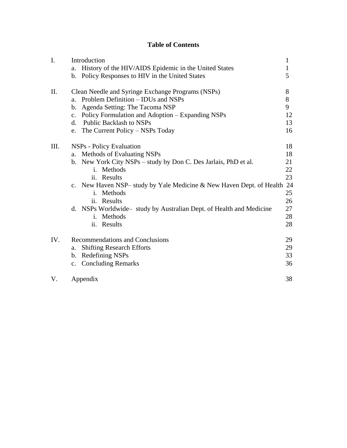# **Table of Contents**

| I.  | Introduction                                                         |              |  |  |  |
|-----|----------------------------------------------------------------------|--------------|--|--|--|
|     | History of the HIV/AIDS Epidemic in the United States<br>a.          | $\mathbf{1}$ |  |  |  |
|     | b. Policy Responses to HIV in the United States                      | 5            |  |  |  |
| II. | Clean Needle and Syringe Exchange Programs (NSPs)                    |              |  |  |  |
|     | Problem Definition – IDUs and NSPs<br>a.                             | 8            |  |  |  |
|     | b. Agenda Setting: The Tacoma NSP                                    | 9            |  |  |  |
|     | c. Policy Formulation and Adoption – Expanding NSPs                  | 12           |  |  |  |
|     | d. Public Backlash to NSPs                                           | 13           |  |  |  |
|     | The Current Policy – NSPs Today<br>e.                                | 16           |  |  |  |
| Ш.  | NSPs - Policy Evaluation                                             | 18           |  |  |  |
|     | Methods of Evaluating NSPs<br>a.                                     | 18           |  |  |  |
|     | b. New York City NSPs - study by Don C. Des Jarlais, PhD et al.      | 21           |  |  |  |
|     | i. Methods                                                           | 22           |  |  |  |
|     | ii. Results                                                          | 23           |  |  |  |
|     | c. New Haven NSP– study by Yale Medicine & New Haven Dept. of Health | 24           |  |  |  |
|     | i. Methods                                                           | 25           |  |  |  |
|     | ii. Results                                                          | 26           |  |  |  |
|     | d. NSPs Worldwide – study by Australian Dept. of Health and Medicine | 27           |  |  |  |
|     | i. Methods                                                           | 28           |  |  |  |
|     | ii. Results                                                          | 28           |  |  |  |
| IV. | Recommendations and Conclusions                                      | 29           |  |  |  |
|     | <b>Shifting Research Efforts</b><br>a.                               | 29           |  |  |  |
|     | b. Redefining NSPs                                                   | 33           |  |  |  |
|     | c. Concluding Remarks                                                | 36           |  |  |  |
| V.  | Appendix                                                             | 38           |  |  |  |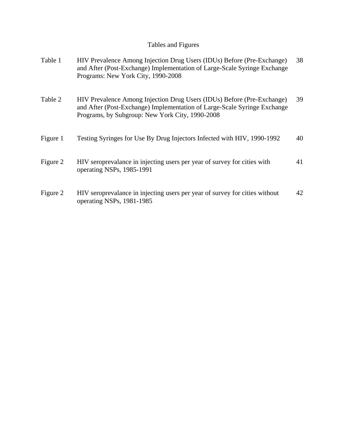# Tables and Figures

| Table 1  | HIV Prevalence Among Injection Drug Users (IDUs) Before (Pre-Exchange)<br>and After (Post-Exchange) Implementation of Large-Scale Syringe Exchange<br>Programs: New York City, 1990-2008              | 38 |
|----------|-------------------------------------------------------------------------------------------------------------------------------------------------------------------------------------------------------|----|
| Table 2  | HIV Prevalence Among Injection Drug Users (IDUs) Before (Pre-Exchange)<br>and After (Post-Exchange) Implementation of Large-Scale Syringe Exchange<br>Programs, by Subgroup: New York City, 1990-2008 | 39 |
| Figure 1 | Testing Syringes for Use By Drug Injectors Infected with HIV, 1990-1992                                                                                                                               | 40 |
| Figure 2 | HIV seroprevalance in injecting users per year of survey for cities with<br>operating NSPs, 1985-1991                                                                                                 | 41 |
| Figure 2 | HIV seroprevalance in injecting users per year of survey for cities without<br>operating NSPs, 1981-1985                                                                                              | 42 |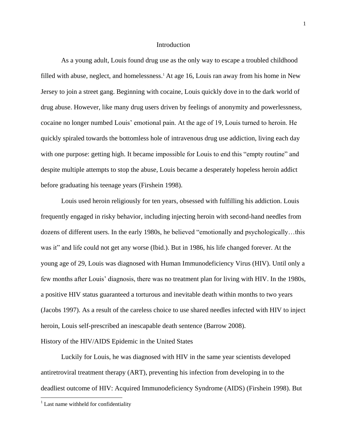#### Introduction

As a young adult, Louis found drug use as the only way to escape a troubled childhood filled with abuse, neglect, and homelessness.<sup>1</sup> At age 16, Louis ran away from his home in New Jersey to join a street gang. Beginning with cocaine, Louis quickly dove in to the dark world of drug abuse. However, like many drug users driven by feelings of anonymity and powerlessness, cocaine no longer numbed Louis' emotional pain. At the age of 19, Louis turned to heroin. He quickly spiraled towards the bottomless hole of intravenous drug use addiction, living each day with one purpose: getting high. It became impossible for Louis to end this "empty routine" and despite multiple attempts to stop the abuse, Louis became a desperately hopeless heroin addict before graduating his teenage years (Firshein 1998).

Louis used heroin religiously for ten years, obsessed with fulfilling his addiction. Louis frequently engaged in risky behavior, including injecting heroin with second-hand needles from dozens of different users. In the early 1980s, he believed "emotionally and psychologically…this was it" and life could not get any worse (Ibid.). But in 1986, his life changed forever. At the young age of 29, Louis was diagnosed with Human Immunodeficiency Virus (HIV). Until only a few months after Louis' diagnosis, there was no treatment plan for living with HIV. In the 1980s, a positive HIV status guaranteed a torturous and inevitable death within months to two years (Jacobs 1997). As a result of the careless choice to use shared needles infected with HIV to inject heroin, Louis self-prescribed an inescapable death sentence (Barrow 2008). History of the HIV/AIDS Epidemic in the United States

Luckily for Louis, he was diagnosed with HIV in the same year scientists developed antiretroviral treatment therapy (ART), preventing his infection from developing in to the deadliest outcome of HIV: Acquired Immunodeficiency Syndrome (AIDS) (Firshein 1998). But

 $\overline{a}$ 

 $1$  Last name withheld for confidentiality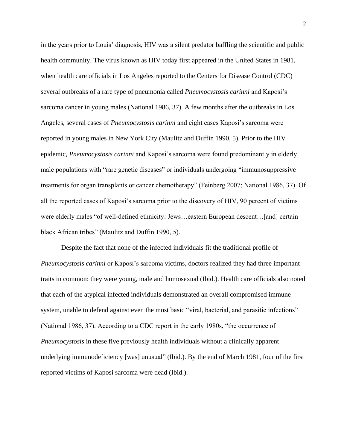in the years prior to Louis' diagnosis, HIV was a silent predator baffling the scientific and public health community. The virus known as HIV today first appeared in the United States in 1981, when health care officials in Los Angeles reported to the Centers for Disease Control (CDC) several outbreaks of a rare type of pneumonia called *Pneumocystosis carinni* and Kaposi's sarcoma cancer in young males (National 1986, 37). A few months after the outbreaks in Los Angeles, several cases of *Pneumocystosis carinni* and eight cases Kaposi's sarcoma were reported in young males in New York City (Maulitz and Duffin 1990, 5). Prior to the HIV epidemic, *Pneumocystosis carinni* and Kaposi's sarcoma were found predominantly in elderly male populations with "rare genetic diseases" or individuals undergoing "immunosuppressive treatments for organ transplants or cancer chemotherapy" (Feinberg 2007; National 1986, 37). Of all the reported cases of Kaposi's sarcoma prior to the discovery of HIV, 90 percent of victims were elderly males "of well-defined ethnicity: Jews…eastern European descent…[and] certain black African tribes" (Maulitz and Duffin 1990, 5).

Despite the fact that none of the infected individuals fit the traditional profile of *Pneumocystosis carinni* or Kaposi's sarcoma victims, doctors realized they had three important traits in common: they were young, male and homosexual (Ibid.). Health care officials also noted that each of the atypical infected individuals demonstrated an overall compromised immune system, unable to defend against even the most basic "viral, bacterial, and parasitic infections" (National 1986, 37). According to a CDC report in the early 1980s, "the occurrence of *Pneumocystosis* in these five previously health individuals without a clinically apparent underlying immunodeficiency [was] unusual" (Ibid.). By the end of March 1981, four of the first reported victims of Kaposi sarcoma were dead (Ibid.).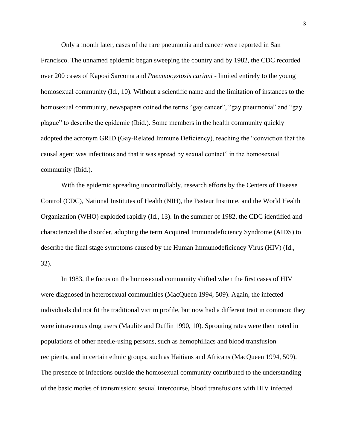Only a month later, cases of the rare pneumonia and cancer were reported in San Francisco. The unnamed epidemic began sweeping the country and by 1982, the CDC recorded over 200 cases of Kaposi Sarcoma and *Pneumocystosis carinni* - limited entirely to the young homosexual community (Id., 10). Without a scientific name and the limitation of instances to the homosexual community, newspapers coined the terms "gay cancer", "gay pneumonia" and "gay plague" to describe the epidemic (Ibid.). Some members in the health community quickly adopted the acronym GRID (Gay-Related Immune Deficiency), reaching the "conviction that the causal agent was infectious and that it was spread by sexual contact" in the homosexual community (Ibid.).

With the epidemic spreading uncontrollably, research efforts by the Centers of Disease Control (CDC), National Institutes of Health (NIH), the Pasteur Institute, and the World Health Organization (WHO) exploded rapidly (Id., 13). In the summer of 1982, the CDC identified and characterized the disorder, adopting the term Acquired Immunodeficiency Syndrome (AIDS) to describe the final stage symptoms caused by the Human Immunodeficiency Virus (HIV) (Id., 32).

In 1983, the focus on the homosexual community shifted when the first cases of HIV were diagnosed in heterosexual communities (MacQueen 1994, 509). Again, the infected individuals did not fit the traditional victim profile, but now had a different trait in common: they were intravenous drug users (Maulitz and Duffin 1990, 10). Sprouting rates were then noted in populations of other needle-using persons, such as hemophiliacs and blood transfusion recipients, and in certain ethnic groups, such as Haitians and Africans (MacQueen 1994, 509). The presence of infections outside the homosexual community contributed to the understanding of the basic modes of transmission: sexual intercourse, blood transfusions with HIV infected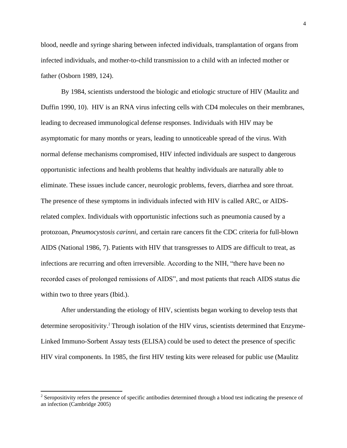blood, needle and syringe sharing between infected individuals, transplantation of organs from infected individuals, and mother-to-child transmission to a child with an infected mother or father (Osborn 1989, 124).

By 1984, scientists understood the biologic and etiologic structure of HIV (Maulitz and Duffin 1990, 10). HIV is an RNA virus infecting cells with CD4 molecules on their membranes, leading to decreased immunological defense responses. Individuals with HIV may be asymptomatic for many months or years, leading to unnoticeable spread of the virus. With normal defense mechanisms compromised, HIV infected individuals are suspect to dangerous opportunistic infections and health problems that healthy individuals are naturally able to eliminate. These issues include cancer, neurologic problems, fevers, diarrhea and sore throat. The presence of these symptoms in individuals infected with HIV is called ARC, or AIDSrelated complex. Individuals with opportunistic infections such as pneumonia caused by a protozoan, *Pneumocystosis carinni,* and certain rare cancers fit the CDC criteria for full-blown AIDS (National 1986, 7). Patients with HIV that transgresses to AIDS are difficult to treat, as infections are recurring and often irreversible. According to the NIH, "there have been no recorded cases of prolonged remissions of AIDS", and most patients that reach AIDS status die within two to three years (Ibid.).

After understanding the etiology of HIV, scientists began working to develop tests that determine seropositivity.<sup>2</sup> Through isolation of the HIV virus, scientists determined that Enzyme-Linked Immuno-Sorbent Assay tests (ELISA) could be used to detect the presence of specific HIV viral components. In 1985, the first HIV testing kits were released for public use (Maulitz

 $\overline{a}$ 

 $2^2$  Seropositivity refers the presence of specific antibodies determined through a blood test indicating the presence of an infection (Cambridge 2005)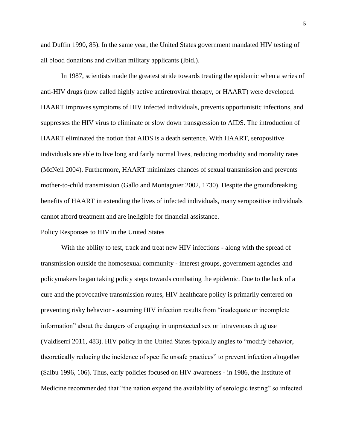and Duffin 1990, 85). In the same year, the United States government mandated HIV testing of all blood donations and civilian military applicants (Ibid.).

In 1987, scientists made the greatest stride towards treating the epidemic when a series of anti-HIV drugs (now called highly active antiretroviral therapy, or HAART) were developed. HAART improves symptoms of HIV infected individuals, prevents opportunistic infections, and suppresses the HIV virus to eliminate or slow down transgression to AIDS. The introduction of HAART eliminated the notion that AIDS is a death sentence. With HAART, seropositive individuals are able to live long and fairly normal lives, reducing morbidity and mortality rates (McNeil 2004). Furthermore, HAART minimizes chances of sexual transmission and prevents mother-to-child transmission (Gallo and Montagnier 2002, 1730). Despite the groundbreaking benefits of HAART in extending the lives of infected individuals, many seropositive individuals cannot afford treatment and are ineligible for financial assistance.

#### Policy Responses to HIV in the United States

With the ability to test, track and treat new HIV infections - along with the spread of transmission outside the homosexual community - interest groups, government agencies and policymakers began taking policy steps towards combating the epidemic. Due to the lack of a cure and the provocative transmission routes, HIV healthcare policy is primarily centered on preventing risky behavior - assuming HIV infection results from "inadequate or incomplete information" about the dangers of engaging in unprotected sex or intravenous drug use (Valdiserri 2011, 483). HIV policy in the United States typically angles to "modify behavior, theoretically reducing the incidence of specific unsafe practices" to prevent infection altogether (Salbu 1996, 106). Thus, early policies focused on HIV awareness - in 1986, the Institute of Medicine recommended that "the nation expand the availability of serologic testing" so infected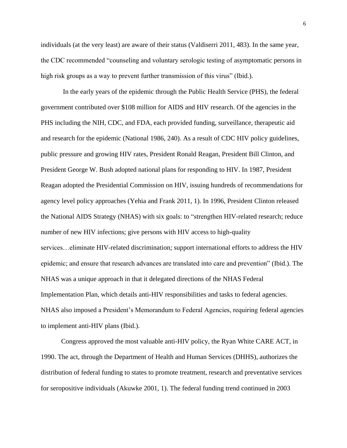individuals (at the very least) are aware of their status (Valdiserri 2011, 483). In the same year, the CDC recommended "counseling and voluntary serologic testing of asymptomatic persons in high risk groups as a way to prevent further transmission of this virus" (Ibid.).

In the early years of the epidemic through the Public Health Service (PHS), the federal government contributed over \$108 million for AIDS and HIV research. Of the agencies in the PHS including the NIH, CDC, and FDA, each provided funding, surveillance, therapeutic aid and research for the epidemic (National 1986, 240). As a result of CDC HIV policy guidelines, public pressure and growing HIV rates, President Ronald Reagan, President Bill Clinton, and President George W. Bush adopted national plans for responding to HIV. In 1987, President Reagan adopted the Presidential Commission on HIV, issuing hundreds of recommendations for agency level policy approaches (Yehia and Frank 2011, 1). In 1996, President Clinton released the National AIDS Strategy (NHAS) with six goals: to "strengthen HIV-related research; reduce number of new HIV infections; give persons with HIV access to high-quality services…eliminate HIV-related discrimination; support international efforts to address the HIV epidemic; and ensure that research advances are translated into care and prevention" (Ibid.). The NHAS was a unique approach in that it delegated directions of the NHAS Federal Implementation Plan, which details anti-HIV responsibilities and tasks to federal agencies. NHAS also imposed a President's Memorandum to Federal Agencies, requiring federal agencies to implement anti-HIV plans (Ibid.).

Congress approved the most valuable anti-HIV policy, the Ryan White CARE ACT, in 1990. The act, through the Department of Health and Human Services (DHHS), authorizes the distribution of federal funding to states to promote treatment, research and preventative services for seropositive individuals (Akuwke 2001, 1). The federal funding trend continued in 2003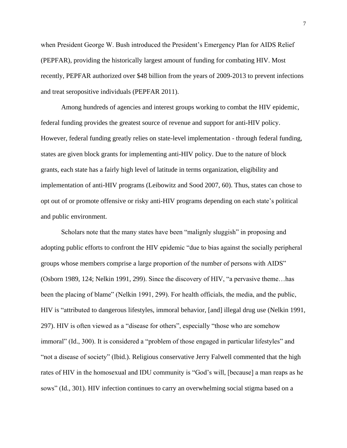when President George W. Bush introduced the President's Emergency Plan for AIDS Relief (PEPFAR), providing the historically largest amount of funding for combating HIV. Most recently, PEPFAR authorized over \$48 billion from the years of 2009-2013 to prevent infections and treat seropositive individuals (PEPFAR 2011).

Among hundreds of agencies and interest groups working to combat the HIV epidemic, federal funding provides the greatest source of revenue and support for anti-HIV policy. However, federal funding greatly relies on state-level implementation - through federal funding, states are given block grants for implementing anti-HIV policy. Due to the nature of block grants, each state has a fairly high level of latitude in terms organization, eligibility and implementation of anti-HIV programs (Leibowitz and Sood 2007, 60). Thus, states can chose to opt out of or promote offensive or risky anti-HIV programs depending on each state's political and public environment.

Scholars note that the many states have been "malignly sluggish" in proposing and adopting public efforts to confront the HIV epidemic "due to bias against the socially peripheral groups whose members comprise a large proportion of the number of persons with AIDS" (Osborn 1989, 124; Nelkin 1991, 299). Since the discovery of HIV, "a pervasive theme…has been the placing of blame" (Nelkin 1991, 299). For health officials, the media, and the public, HIV is "attributed to dangerous lifestyles, immoral behavior, [and] illegal drug use (Nelkin 1991, 297). HIV is often viewed as a "disease for others", especially "those who are somehow immoral" (Id., 300). It is considered a "problem of those engaged in particular lifestyles" and "not a disease of society" (Ibid.). Religious conservative Jerry Falwell commented that the high rates of HIV in the homosexual and IDU community is "God's will, [because] a man reaps as he sows" (Id., 301). HIV infection continues to carry an overwhelming social stigma based on a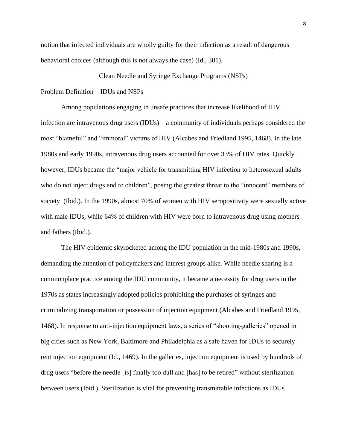notion that infected individuals are wholly guilty for their infection as a result of dangerous behavioral choices (although this is not always the case) (Id., 301).

Clean Needle and Syringe Exchange Programs (NSPs)

## Problem Definition – IDUs and NSPs

Among populations engaging in unsafe practices that increase likelihood of HIV infection are intravenous drug users (IDUs) – a community of individuals perhaps considered the most "blameful" and "immoral" victims of HIV (Alcabes and Friedland 1995, 1468). In the late 1980s and early 1990s, intravenous drug users accounted for over 33% of HIV rates. Quickly however, IDUs became the "major vehicle for transmitting HIV infection to heterosexual adults who do not inject drugs and to children", posing the greatest threat to the "innocent" members of society (Ibid.). In the 1990s, almost 70% of women with HIV seropositivity were sexually active with male IDUs, while 64% of children with HIV were born to intravenous drug using mothers and fathers (Ibid.).

The HIV epidemic skyrocketed among the IDU population in the mid-1980s and 1990s, demanding the attention of policymakers and interest groups alike. While needle sharing is a commonplace practice among the IDU community, it became a necessity for drug users in the 1970s as states increasingly adopted policies prohibiting the purchases of syringes and criminalizing transportation or possession of injection equipment (Alcabes and Friedland 1995, 1468). In response to anti-injection equipment laws, a series of "shooting-galleries" opened in big cities such as New York, Baltimore and Philadelphia as a safe haven for IDUs to securely rent injection equipment (Id., 1469). In the galleries, injection equipment is used by hundreds of drug users "before the needle [is] finally too dull and [has] to be retired" without sterilization between users (Ibid.). Sterilization is vital for preventing transmittable infections as IDUs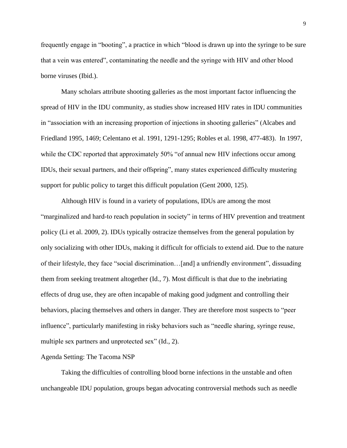frequently engage in "booting", a practice in which "blood is drawn up into the syringe to be sure that a vein was entered", contaminating the needle and the syringe with HIV and other blood borne viruses (Ibid.).

Many scholars attribute shooting galleries as the most important factor influencing the spread of HIV in the IDU community, as studies show increased HIV rates in IDU communities in "association with an increasing proportion of injections in shooting galleries" (Alcabes and Friedland 1995, 1469; Celentano et al. 1991, 1291-1295; Robles et al. 1998, 477-483). In 1997, while the CDC reported that approximately 50% "of annual new HIV infections occur among IDUs, their sexual partners, and their offspring", many states experienced difficulty mustering support for public policy to target this difficult population (Gent 2000, 125).

Although HIV is found in a variety of populations, IDUs are among the most "marginalized and hard-to reach population in society" in terms of HIV prevention and treatment policy (Li et al. 2009, 2). IDUs typically ostracize themselves from the general population by only socializing with other IDUs, making it difficult for officials to extend aid. Due to the nature of their lifestyle, they face "social discrimination…[and] a unfriendly environment", dissuading them from seeking treatment altogether (Id., 7). Most difficult is that due to the inebriating effects of drug use, they are often incapable of making good judgment and controlling their behaviors, placing themselves and others in danger. They are therefore most suspects to "peer influence", particularly manifesting in risky behaviors such as "needle sharing, syringe reuse, multiple sex partners and unprotected sex" (Id., 2).

## Agenda Setting: The Tacoma NSP

Taking the difficulties of controlling blood borne infections in the unstable and often unchangeable IDU population, groups began advocating controversial methods such as needle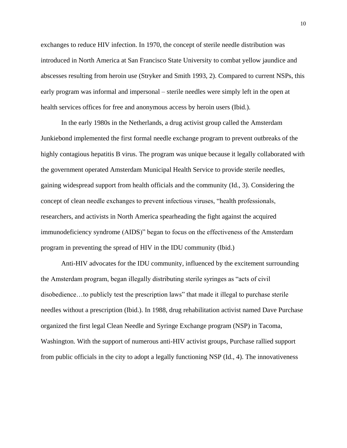exchanges to reduce HIV infection. In 1970, the concept of sterile needle distribution was introduced in North America at San Francisco State University to combat yellow jaundice and abscesses resulting from heroin use (Stryker and Smith 1993, 2). Compared to current NSPs, this early program was informal and impersonal – sterile needles were simply left in the open at health services offices for free and anonymous access by heroin users (Ibid.).

In the early 1980s in the Netherlands, a drug activist group called the Amsterdam Junkiebond implemented the first formal needle exchange program to prevent outbreaks of the highly contagious hepatitis B virus. The program was unique because it legally collaborated with the government operated Amsterdam Municipal Health Service to provide sterile needles, gaining widespread support from health officials and the community (Id., 3). Considering the concept of clean needle exchanges to prevent infectious viruses, "health professionals, researchers, and activists in North America spearheading the fight against the acquired immunodeficiency syndrome (AIDS)" began to focus on the effectiveness of the Amsterdam program in preventing the spread of HIV in the IDU community (Ibid.)

Anti-HIV advocates for the IDU community, influenced by the excitement surrounding the Amsterdam program, began illegally distributing sterile syringes as "acts of civil disobedience…to publicly test the prescription laws" that made it illegal to purchase sterile needles without a prescription (Ibid.). In 1988, drug rehabilitation activist named Dave Purchase organized the first legal Clean Needle and Syringe Exchange program (NSP) in Tacoma, Washington. With the support of numerous anti-HIV activist groups, Purchase rallied support from public officials in the city to adopt a legally functioning NSP (Id., 4). The innovativeness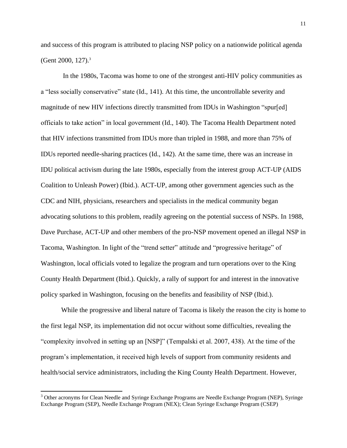and success of this program is attributed to placing NSP policy on a nationwide political agenda (Gent 2000, 127).<sup>3</sup>

In the 1980s, Tacoma was home to one of the strongest anti-HIV policy communities as a "less socially conservative" state (Id., 141). At this time, the uncontrollable severity and magnitude of new HIV infections directly transmitted from IDUs in Washington "spur[ed] officials to take action" in local government (Id., 140). The Tacoma Health Department noted that HIV infections transmitted from IDUs more than tripled in 1988, and more than 75% of IDUs reported needle-sharing practices (Id., 142). At the same time, there was an increase in IDU political activism during the late 1980s, especially from the interest group ACT-UP (AIDS Coalition to Unleash Power) (Ibid.). ACT-UP, among other government agencies such as the CDC and NIH, physicians, researchers and specialists in the medical community began advocating solutions to this problem, readily agreeing on the potential success of NSPs. In 1988, Dave Purchase, ACT-UP and other members of the pro-NSP movement opened an illegal NSP in Tacoma, Washington. In light of the "trend setter" attitude and "progressive heritage" of Washington, local officials voted to legalize the program and turn operations over to the King County Health Department (Ibid.). Quickly, a rally of support for and interest in the innovative policy sparked in Washington, focusing on the benefits and feasibility of NSP (Ibid.).

While the progressive and liberal nature of Tacoma is likely the reason the city is home to the first legal NSP, its implementation did not occur without some difficulties, revealing the "complexity involved in setting up an [NSP]" (Tempalski et al. 2007, 438). At the time of the program's implementation, it received high levels of support from community residents and health/social service administrators, including the King County Health Department. However,

 $\overline{a}$ 

<sup>&</sup>lt;sup>3</sup> Other acronyms for Clean Needle and Syringe Exchange Programs are Needle Exchange Program (NEP), Syringe Exchange Program (SEP), Needle Exchange Program (NEX); Clean Syringe Exchange Program (CSEP)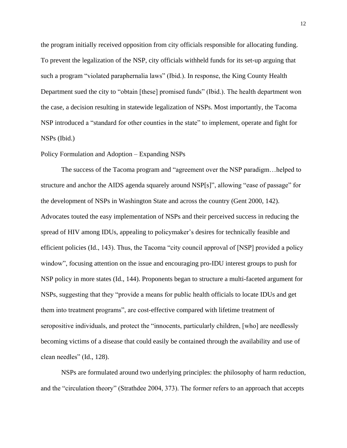the program initially received opposition from city officials responsible for allocating funding. To prevent the legalization of the NSP, city officials withheld funds for its set-up arguing that such a program "violated paraphernalia laws" (Ibid.). In response, the King County Health Department sued the city to "obtain [these] promised funds" (Ibid.). The health department won the case, a decision resulting in statewide legalization of NSPs. Most importantly, the Tacoma NSP introduced a "standard for other counties in the state" to implement, operate and fight for NSPs (Ibid.)

## Policy Formulation and Adoption – Expanding NSPs

The success of the Tacoma program and "agreement over the NSP paradigm…helped to structure and anchor the AIDS agenda squarely around NSP[s]", allowing "ease of passage" for the development of NSPs in Washington State and across the country (Gent 2000, 142). Advocates touted the easy implementation of NSPs and their perceived success in reducing the spread of HIV among IDUs, appealing to policymaker's desires for technically feasible and efficient policies (Id., 143). Thus, the Tacoma "city council approval of [NSP] provided a policy window", focusing attention on the issue and encouraging pro-IDU interest groups to push for NSP policy in more states (Id., 144). Proponents began to structure a multi-faceted argument for NSPs, suggesting that they "provide a means for public health officials to locate IDUs and get them into treatment programs", are cost-effective compared with lifetime treatment of seropositive individuals, and protect the "innocents, particularly children, [who] are needlessly becoming victims of a disease that could easily be contained through the availability and use of clean needles" (Id., 128).

NSPs are formulated around two underlying principles: the philosophy of harm reduction, and the "circulation theory" (Strathdee 2004, 373). The former refers to an approach that accepts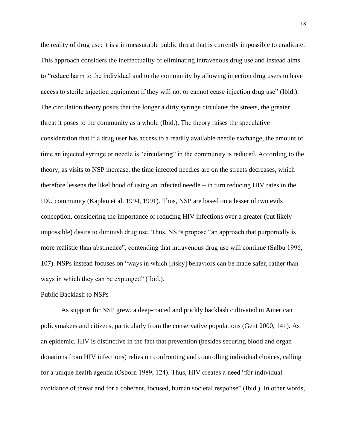the reality of drug use: it is a immeasurable public threat that is currently impossible to eradicate. This approach considers the ineffectuality of eliminating intravenous drug use and instead aims to "reduce harm to the individual and to the community by allowing injection drug users to have access to sterile injection equipment if they will not or cannot cease injection drug use" (Ibid.). The circulation theory posits that the longer a dirty syringe circulates the streets, the greater threat it poses to the community as a whole (Ibid.). The theory raises the speculative consideration that if a drug user has access to a readily available needle exchange, the amount of time an injected syringe or needle is "circulating" in the community is reduced. According to the theory, as visits to NSP increase, the time infected needles are on the streets decreases, which therefore lessens the likelihood of using an infected needle – in turn reducing HIV rates in the IDU community (Kaplan et al. 1994, 1991). Thus, NSP are based on a lesser of two evils conception, considering the importance of reducing HIV infections over a greater (but likely impossible) desire to diminish drug use. Thus, NSPs propose "an approach that purportedly is more realistic than abstinence", contending that intravenous drug use will continue (Salbu 1996, 107). NSPs instead focuses on "ways in which [risky] behaviors can be made safer, rather than ways in which they can be expunged" (Ibid.).

#### Public Backlash to NSPs

As support for NSP grew, a deep-rooted and prickly backlash cultivated in American policymakers and citizens, particularly from the conservative populations (Gent 2000, 141). As an epidemic, HIV is distinctive in the fact that prevention (besides securing blood and organ donations from HIV infections) relies on confronting and controlling individual choices, calling for a unique health agenda (Osborn 1989, 124). Thus, HIV creates a need "for individual avoidance of threat and for a coherent, focused, human societal response" (Ibid.). In other words,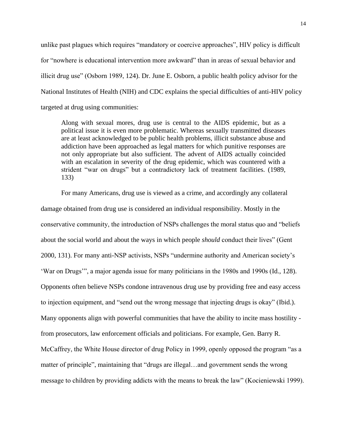unlike past plagues which requires "mandatory or coercive approaches", HIV policy is difficult for "nowhere is educational intervention more awkward" than in areas of sexual behavior and illicit drug use" (Osborn 1989, 124). Dr. June E. Osborn, a public health policy advisor for the National Institutes of Health (NIH) and CDC explains the special difficulties of anti-HIV policy targeted at drug using communities:

Along with sexual mores, drug use is central to the AIDS epidemic, but as a political issue it is even more problematic. Whereas sexually transmitted diseases are at least acknowledged to be public health problems, illicit substance abuse and addiction have been approached as legal matters for which punitive responses are not only appropriate but also sufficient. The advent of AIDS actually coincided with an escalation in severity of the drug epidemic, which was countered with a strident "war on drugs" but a contradictory lack of treatment facilities. (1989, 133)

For many Americans, drug use is viewed as a crime, and accordingly any collateral damage obtained from drug use is considered an individual responsibility. Mostly in the conservative community, the introduction of NSPs challenges the moral status quo and "beliefs about the social world and about the ways in which people *should* conduct their lives" (Gent 2000, 131). For many anti-NSP activists, NSPs "undermine authority and American society's 'War on Drugs'", a major agenda issue for many politicians in the 1980s and 1990s (Id., 128). Opponents often believe NSPs condone intravenous drug use by providing free and easy access to injection equipment, and "send out the wrong message that injecting drugs is okay" (Ibid.). Many opponents align with powerful communities that have the ability to incite mass hostility from prosecutors, law enforcement officials and politicians. For example, Gen. Barry R. McCaffrey, the White House director of drug Policy in 1999, openly opposed the program "as a matter of principle", maintaining that "drugs are illegal…and government sends the wrong message to children by providing addicts with the means to break the law" (Kocieniewski 1999).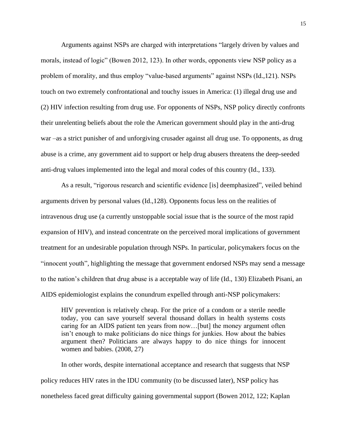Arguments against NSPs are charged with interpretations "largely driven by values and morals, instead of logic" (Bowen 2012, 123). In other words, opponents view NSP policy as a problem of morality, and thus employ "value-based arguments" against NSPs (Id.,121). NSPs touch on two extremely confrontational and touchy issues in America: (1) illegal drug use and (2) HIV infection resulting from drug use. For opponents of NSPs, NSP policy directly confronts their unrelenting beliefs about the role the American government should play in the anti-drug war –as a strict punisher of and unforgiving crusader against all drug use. To opponents, as drug abuse is a crime, any government aid to support or help drug abusers threatens the deep-seeded anti-drug values implemented into the legal and moral codes of this country (Id., 133).

As a result, "rigorous research and scientific evidence [is] deemphasized", veiled behind arguments driven by personal values (Id.,128). Opponents focus less on the realities of intravenous drug use (a currently unstoppable social issue that is the source of the most rapid expansion of HIV), and instead concentrate on the perceived moral implications of government treatment for an undesirable population through NSPs. In particular, policymakers focus on the "innocent youth", highlighting the message that government endorsed NSPs may send a message to the nation's children that drug abuse is a acceptable way of life (Id., 130) Elizabeth Pisani, an AIDS epidemiologist explains the conundrum expelled through anti-NSP policymakers:

HIV prevention is relatively cheap. For the price of a condom or a sterile needle today, you can save yourself several thousand dollars in health systems costs caring for an AIDS patient ten years from now…[but] the money argument often isn't enough to make politicians do nice things for junkies. How about the babies argument then? Politicians are always happy to do nice things for innocent women and babies. (2008, 27)

In other words, despite international acceptance and research that suggests that NSP policy reduces HIV rates in the IDU community (to be discussed later), NSP policy has nonetheless faced great difficulty gaining governmental support (Bowen 2012, 122; Kaplan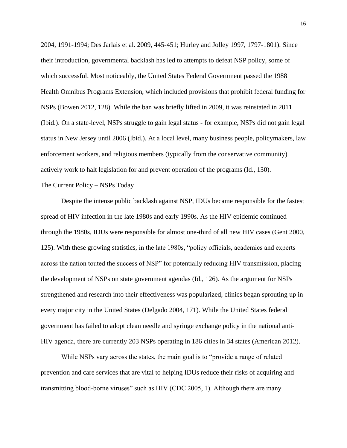2004, 1991-1994; Des Jarlais et al. 2009, 445-451; Hurley and Jolley 1997, 1797-1801). Since their introduction, governmental backlash has led to attempts to defeat NSP policy, some of which successful. Most noticeably, the United States Federal Government passed the 1988 Health Omnibus Programs Extension, which included provisions that prohibit federal funding for NSPs (Bowen 2012, 128). While the ban was briefly lifted in 2009, it was reinstated in 2011 (Ibid.). On a state-level, NSPs struggle to gain legal status - for example, NSPs did not gain legal status in New Jersey until 2006 (Ibid.). At a local level, many business people, policymakers, law enforcement workers, and religious members (typically from the conservative community) actively work to halt legislation for and prevent operation of the programs (Id., 130).

## The Current Policy – NSPs Today

Despite the intense public backlash against NSP, IDUs became responsible for the fastest spread of HIV infection in the late 1980s and early 1990s. As the HIV epidemic continued through the 1980s, IDUs were responsible for almost one-third of all new HIV cases (Gent 2000, 125). With these growing statistics, in the late 1980s, "policy officials, academics and experts across the nation touted the success of NSP" for potentially reducing HIV transmission, placing the development of NSPs on state government agendas (Id., 126). As the argument for NSPs strengthened and research into their effectiveness was popularized, clinics began sprouting up in every major city in the United States (Delgado 2004, 171). While the United States federal government has failed to adopt clean needle and syringe exchange policy in the national anti-HIV agenda, there are currently 203 NSPs operating in 186 cities in 34 states (American 2012).

While NSPs vary across the states, the main goal is to "provide a range of related prevention and care services that are vital to helping IDUs reduce their risks of acquiring and transmitting blood-borne viruses" such as HIV (CDC 2005, 1). Although there are many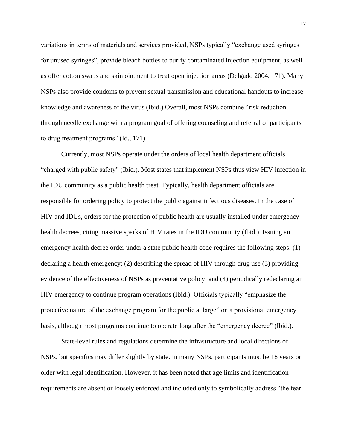variations in terms of materials and services provided, NSPs typically "exchange used syringes for unused syringes", provide bleach bottles to purify contaminated injection equipment, as well as offer cotton swabs and skin ointment to treat open injection areas (Delgado 2004, 171). Many NSPs also provide condoms to prevent sexual transmission and educational handouts to increase knowledge and awareness of the virus (Ibid.) Overall, most NSPs combine "risk reduction through needle exchange with a program goal of offering counseling and referral of participants to drug treatment programs" (Id., 171).

Currently, most NSPs operate under the orders of local health department officials "charged with public safety" (Ibid.). Most states that implement NSPs thus view HIV infection in the IDU community as a public health treat. Typically, health department officials are responsible for ordering policy to protect the public against infectious diseases. In the case of HIV and IDUs, orders for the protection of public health are usually installed under emergency health decrees, citing massive sparks of HIV rates in the IDU community (Ibid.). Issuing an emergency health decree order under a state public health code requires the following steps: (1) declaring a health emergency; (2) describing the spread of HIV through drug use (3) providing evidence of the effectiveness of NSPs as preventative policy; and (4) periodically redeclaring an HIV emergency to continue program operations (Ibid.). Officials typically "emphasize the protective nature of the exchange program for the public at large" on a provisional emergency basis, although most programs continue to operate long after the "emergency decree" (Ibid.).

State-level rules and regulations determine the infrastructure and local directions of NSPs, but specifics may differ slightly by state. In many NSPs, participants must be 18 years or older with legal identification. However, it has been noted that age limits and identification requirements are absent or loosely enforced and included only to symbolically address "the fear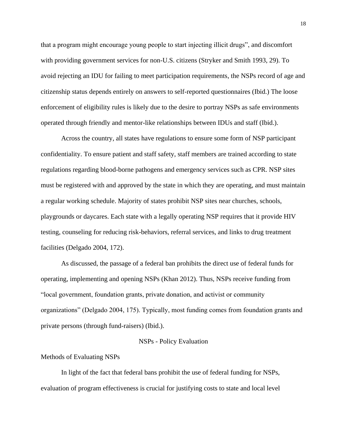that a program might encourage young people to start injecting illicit drugs", and discomfort with providing government services for non-U.S. citizens (Stryker and Smith 1993, 29). To avoid rejecting an IDU for failing to meet participation requirements, the NSPs record of age and citizenship status depends entirely on answers to self-reported questionnaires (Ibid.) The loose enforcement of eligibility rules is likely due to the desire to portray NSPs as safe environments operated through friendly and mentor-like relationships between IDUs and staff (Ibid.).

Across the country, all states have regulations to ensure some form of NSP participant confidentiality. To ensure patient and staff safety, staff members are trained according to state regulations regarding blood-borne pathogens and emergency services such as CPR. NSP sites must be registered with and approved by the state in which they are operating, and must maintain a regular working schedule. Majority of states prohibit NSP sites near churches, schools, playgrounds or daycares. Each state with a legally operating NSP requires that it provide HIV testing, counseling for reducing risk-behaviors, referral services, and links to drug treatment facilities (Delgado 2004, 172).

As discussed, the passage of a federal ban prohibits the direct use of federal funds for operating, implementing and opening NSPs (Khan 2012). Thus, NSPs receive funding from "local government, foundation grants, private donation, and activist or community organizations" (Delgado 2004, 175). Typically, most funding comes from foundation grants and private persons (through fund-raisers) (Ibid.).

## NSPs - Policy Evaluation

#### Methods of Evaluating NSPs

In light of the fact that federal bans prohibit the use of federal funding for NSPs, evaluation of program effectiveness is crucial for justifying costs to state and local level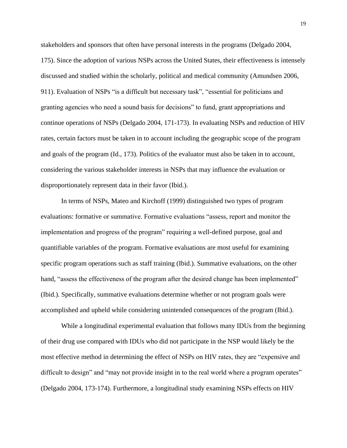stakeholders and sponsors that often have personal interests in the programs (Delgado 2004, 175). Since the adoption of various NSPs across the United States, their effectiveness is intensely discussed and studied within the scholarly, political and medical community (Amundsen 2006, 911). Evaluation of NSPs "is a difficult but necessary task", "essential for politicians and granting agencies who need a sound basis for decisions" to fund, grant appropriations and continue operations of NSPs (Delgado 2004, 171-173). In evaluating NSPs and reduction of HIV rates, certain factors must be taken in to account including the geographic scope of the program and goals of the program (Id., 173). Politics of the evaluator must also be taken in to account, considering the various stakeholder interests in NSPs that may influence the evaluation or disproportionately represent data in their favor (Ibid.).

In terms of NSPs, Mateo and Kirchoff (1999) distinguished two types of program evaluations: formative or summative. Formative evaluations "assess, report and monitor the implementation and progress of the program" requiring a well-defined purpose, goal and quantifiable variables of the program. Formative evaluations are most useful for examining specific program operations such as staff training (Ibid.). Summative evaluations, on the other hand, "assess the effectiveness of the program after the desired change has been implemented" (Ibid.). Specifically, summative evaluations determine whether or not program goals were accomplished and upheld while considering unintended consequences of the program (Ibid.).

While a longitudinal experimental evaluation that follows many IDUs from the beginning of their drug use compared with IDUs who did not participate in the NSP would likely be the most effective method in determining the effect of NSPs on HIV rates, they are "expensive and difficult to design" and "may not provide insight in to the real world where a program operates" (Delgado 2004, 173-174). Furthermore, a longitudinal study examining NSPs effects on HIV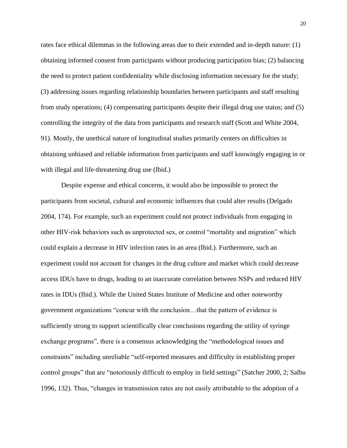rates face ethical dilemmas in the following areas due to their extended and in-depth nature: (1) obtaining informed consent from participants without producing participation bias; (2) balancing the need to protect patient confidentiality while disclosing information necessary for the study; (3) addressing issues regarding relationship boundaries between participants and staff resulting from study operations; (4) compensating participants despite their illegal drug use status; and (5) controlling the integrity of the data from participants and research staff (Scott and White 2004, 91). Mostly, the unethical nature of longitudinal studies primarily centers on difficulties in obtaining unbiased and reliable information from participants and staff knowingly engaging in or with illegal and life-threatening drug use (Ibid.)

Despite expense and ethical concerns, it would also be impossible to protect the participants from societal, cultural and economic influences that could alter results (Delgado 2004, 174). For example, such an experiment could not protect individuals from engaging in other HIV-risk behaviors such as unprotected sex, or control "mortality and migration" which could explain a decrease in HIV infection rates in an area (Ibid.). Furthermore, such an experiment could not account for changes in the drug culture and market which could decrease access IDUs have to drugs, leading to an inaccurate correlation between NSPs and reduced HIV rates in IDUs (Ibid.). While the United States Institute of Medicine and other noteworthy government organizations "concur with the conclusion…that the pattern of evidence is sufficiently strong to support scientifically clear conclusions regarding the utility of syringe exchange programs", there is a consensus acknowledging the "methodological issues and constraints" including unreliable "self-reported measures and difficulty in establishing proper control groups" that are "notoriously difficult to employ in field settings" (Satcher 2000, 2; Salbu 1996, 132). Thus, "changes in transmission rates are not easily attributable to the adoption of a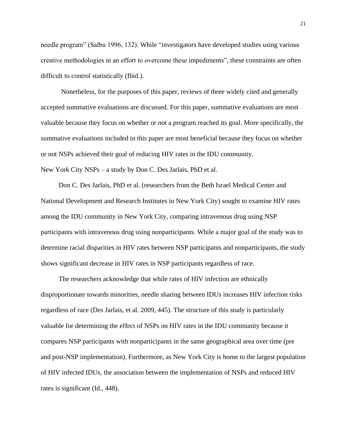needle program" (Salbu 1996, 132). While "investigators have developed studies using various creative methodologies in an effort to overcome these impediments", these constraints are often difficult to control statistically (Ibid.).

Nonetheless, for the purposes of this paper, reviews of three widely cited and generally accepted summative evaluations are discussed. For this paper, summative evaluations are most valuable because they focus on whether or not a program reached its goal. More specifically, the summative evaluations included in this paper are most beneficial because they focus on whether or not NSPs achieved their goal of reducing HIV rates in the IDU community. New York City NSPs – a study by Don C. Des Jarlais, PhD et al.

Don C. Des Jarlais, PhD et al. (researchers from the Beth Israel Medical Center and National Development and Research Institutes in New York City) sought to examine HIV rates among the IDU community in New York City, comparing intravenous drug using NSP participants with intravenous drug using nonparticipants. While a major goal of the study was to determine racial disparities in HIV rates between NSP participants and nonparticipants, the study shows significant decrease in HIV rates in NSP participants regardless of race.

The researchers acknowledge that while rates of HIV infection are ethnically disproportionate towards minorities, needle sharing between IDUs increases HIV infection risks regardless of race (Des Jarlais, et al. 2009, 445). The structure of this study is particularly valuable for determining the effect of NSPs on HIV rates in the IDU community because it compares NSP participants with nonparticipants in the same geographical area over time (pre and post-NSP implementation). Furthermore, as New York City is home to the largest population of HIV infected IDUs, the association between the implementation of NSPs and reduced HIV rates is significant (Id., 448).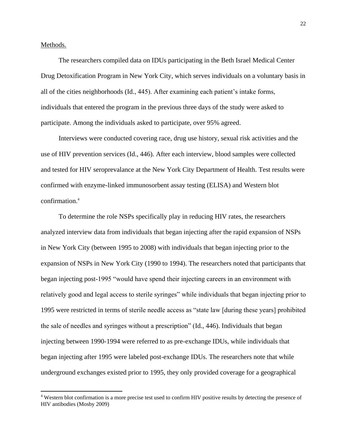Methods.

 $\overline{a}$ 

The researchers compiled data on IDUs participating in the Beth Israel Medical Center Drug Detoxification Program in New York City, which serves individuals on a voluntary basis in all of the cities neighborhoods (Id., 445). After examining each patient's intake forms, individuals that entered the program in the previous three days of the study were asked to participate. Among the individuals asked to participate, over 95% agreed.

Interviews were conducted covering race, drug use history, sexual risk activities and the use of HIV prevention services (Id., 446). After each interview, blood samples were collected and tested for HIV seroprevalance at the New York City Department of Health. Test results were confirmed with enzyme-linked immunosorbent assay testing (ELISA) and Western blot confirmation.<sup>4</sup>

To determine the role NSPs specifically play in reducing HIV rates, the researchers analyzed interview data from individuals that began injecting after the rapid expansion of NSPs in New York City (between 1995 to 2008) with individuals that began injecting prior to the expansion of NSPs in New York City (1990 to 1994). The researchers noted that participants that began injecting post-1995 "would have spend their injecting careers in an environment with relatively good and legal access to sterile syringes" while individuals that began injecting prior to 1995 were restricted in terms of sterile needle access as "state law [during these years] prohibited the sale of needles and syringes without a prescription" (Id., 446). Individuals that began injecting between 1990-1994 were referred to as pre-exchange IDUs, while individuals that began injecting after 1995 were labeled post-exchange IDUs. The researchers note that while underground exchanges existed prior to 1995, they only provided coverage for a geographical

<sup>&</sup>lt;sup>4</sup> Western blot confirmation is a more precise test used to confirm HIV positive results by detecting the presence of HIV antibodies (Mosby 2009)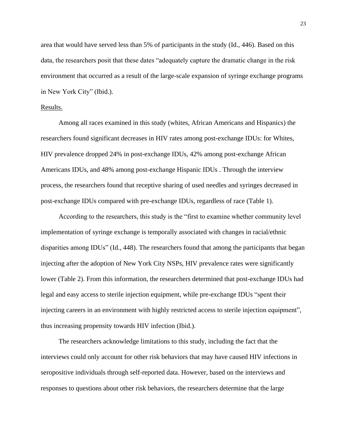area that would have served less than 5% of participants in the study (Id., 446). Based on this data, the researchers posit that these dates "adequately capture the dramatic change in the risk environment that occurred as a result of the large-scale expansion of syringe exchange programs in New York City" (Ibid.).

#### Results.

Among all races examined in this study (whites, African Americans and Hispanics) the researchers found significant decreases in HIV rates among post-exchange IDUs: for Whites, HIV prevalence dropped 24% in post-exchange IDUs, 42% among post-exchange African Americans IDUs, and 48% among post-exchange Hispanic IDUs . Through the interview process, the researchers found that receptive sharing of used needles and syringes decreased in post-exchange IDUs compared with pre-exchange IDUs, regardless of race (Table 1).

According to the researchers, this study is the "first to examine whether community level implementation of syringe exchange is temporally associated with changes in racial/ethnic disparities among IDUs" (Id., 448). The researchers found that among the participants that began injecting after the adoption of New York City NSPs, HIV prevalence rates were significantly lower (Table 2). From this information, the researchers determined that post-exchange IDUs had legal and easy access to sterile injection equipment, while pre-exchange IDUs "spent their injecting careers in an environment with highly restricted access to sterile injection equipment", thus increasing propensity towards HIV infection (Ibid.).

The researchers acknowledge limitations to this study, including the fact that the interviews could only account for other risk behaviors that may have caused HIV infections in seropositive individuals through self-reported data. However, based on the interviews and responses to questions about other risk behaviors, the researchers determine that the large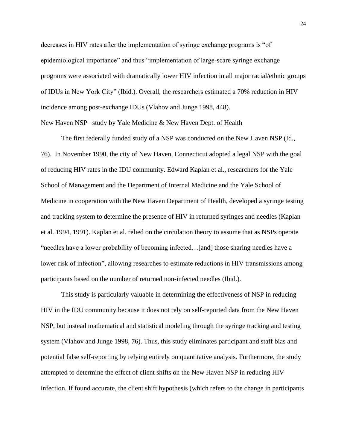decreases in HIV rates after the implementation of syringe exchange programs is "of epidemiological importance" and thus "implementation of large-scare syringe exchange programs were associated with dramatically lower HIV infection in all major racial/ethnic groups of IDUs in New York City" (Ibid.). Overall, the researchers estimated a 70% reduction in HIV incidence among post-exchange IDUs (Vlahov and Junge 1998, 448).

New Haven NSP– study by Yale Medicine & New Haven Dept. of Health

The first federally funded study of a NSP was conducted on the New Haven NSP (Id., 76). In November 1990, the city of New Haven, Connecticut adopted a legal NSP with the goal of reducing HIV rates in the IDU community. Edward Kaplan et al., researchers for the Yale School of Management and the Department of Internal Medicine and the Yale School of Medicine in cooperation with the New Haven Department of Health, developed a syringe testing and tracking system to determine the presence of HIV in returned syringes and needles (Kaplan et al. 1994, 1991). Kaplan et al. relied on the circulation theory to assume that as NSPs operate "needles have a lower probability of becoming infected…[and] those sharing needles have a lower risk of infection", allowing researches to estimate reductions in HIV transmissions among participants based on the number of returned non-infected needles (Ibid.).

This study is particularly valuable in determining the effectiveness of NSP in reducing HIV in the IDU community because it does not rely on self-reported data from the New Haven NSP, but instead mathematical and statistical modeling through the syringe tracking and testing system (Vlahov and Junge 1998, 76). Thus, this study eliminates participant and staff bias and potential false self-reporting by relying entirely on quantitative analysis. Furthermore, the study attempted to determine the effect of client shifts on the New Haven NSP in reducing HIV infection. If found accurate, the client shift hypothesis (which refers to the change in participants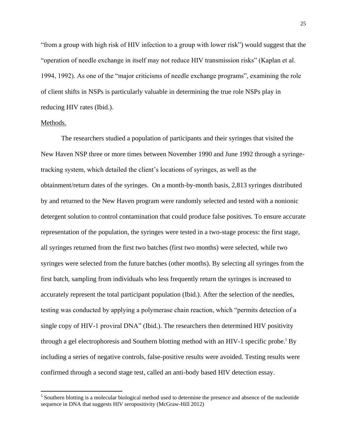"from a group with high risk of HIV infection to a group with lower risk") would suggest that the "operation of needle exchange in itself may not reduce HIV transmission risks" (Kaplan et al. 1994, 1992). As one of the "major criticisms of needle exchange programs", examining the role of client shifts in NSPs is particularly valuable in determining the true role NSPs play in reducing HIV rates (Ibid.).

#### Methods.

 $\overline{a}$ 

The researchers studied a population of participants and their syringes that visited the New Haven NSP three or more times between November 1990 and June 1992 through a syringetracking system, which detailed the client's locations of syringes, as well as the obtainment/return dates of the syringes. On a month-by-month basis, 2,813 syringes distributed by and returned to the New Haven program were randomly selected and tested with a nonionic detergent solution to control contamination that could produce false positives. To ensure accurate representation of the population, the syringes were tested in a two-stage process: the first stage, all syringes returned from the first two batches (first two months) were selected, while two syringes were selected from the future batches (other months). By selecting all syringes from the first batch, sampling from individuals who less frequently return the syringes is increased to accurately represent the total participant population (Ibid.). After the selection of the needles, testing was conducted by applying a polymerase chain reaction, which "permits detection of a single copy of HIV-1 proviral DNA" (Ibid.). The researchers then determined HIV positivity through a gel electrophoresis and Southern blotting method with an HIV-1 specific probe.<sup>5</sup> By including a series of negative controls, false-positive results were avoided. Testing results were confirmed through a second stage test, called an anti-body based HIV detection essay.

<sup>&</sup>lt;sup>5</sup> Southern blotting is a molecular biological method used to determine the presence and absence of the nucleotide sequence in DNA that suggests HIV seropositivity (McGraw-Hill 2012)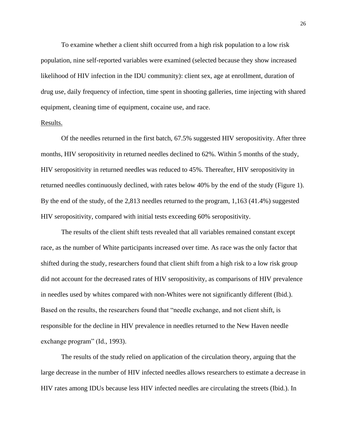To examine whether a client shift occurred from a high risk population to a low risk population, nine self-reported variables were examined (selected because they show increased likelihood of HIV infection in the IDU community): client sex, age at enrollment, duration of drug use, daily frequency of infection, time spent in shooting galleries, time injecting with shared equipment, cleaning time of equipment, cocaine use, and race.

## Results.

Of the needles returned in the first batch, 67.5% suggested HIV seropositivity. After three months, HIV seropositivity in returned needles declined to 62%. Within 5 months of the study, HIV seropositivity in returned needles was reduced to 45%. Thereafter, HIV seropositivity in returned needles continuously declined, with rates below 40% by the end of the study (Figure 1). By the end of the study, of the 2,813 needles returned to the program, 1,163 (41.4%) suggested HIV seropositivity, compared with initial tests exceeding 60% seropositivity.

The results of the client shift tests revealed that all variables remained constant except race, as the number of White participants increased over time. As race was the only factor that shifted during the study, researchers found that client shift from a high risk to a low risk group did not account for the decreased rates of HIV seropositivity, as comparisons of HIV prevalence in needles used by whites compared with non-Whites were not significantly different (Ibid.). Based on the results, the researchers found that "needle exchange, and not client shift, is responsible for the decline in HIV prevalence in needles returned to the New Haven needle exchange program" (Id., 1993).

The results of the study relied on application of the circulation theory, arguing that the large decrease in the number of HIV infected needles allows researchers to estimate a decrease in HIV rates among IDUs because less HIV infected needles are circulating the streets (Ibid.). In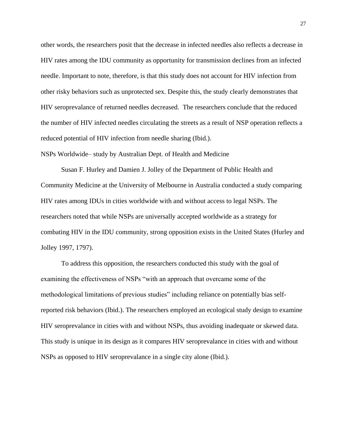other words, the researchers posit that the decrease in infected needles also reflects a decrease in HIV rates among the IDU community as opportunity for transmission declines from an infected needle. Important to note, therefore, is that this study does not account for HIV infection from other risky behaviors such as unprotected sex. Despite this, the study clearly demonstrates that HIV seroprevalance of returned needles decreased. The researchers conclude that the reduced the number of HIV infected needles circulating the streets as a result of NSP operation reflects a reduced potential of HIV infection from needle sharing (Ibid.).

NSPs Worldwide– study by Australian Dept. of Health and Medicine

Susan F. Hurley and Damien J. Jolley of the Department of Public Health and Community Medicine at the University of Melbourne in Australia conducted a study comparing HIV rates among IDUs in cities worldwide with and without access to legal NSPs. The researchers noted that while NSPs are universally accepted worldwide as a strategy for combating HIV in the IDU community, strong opposition exists in the United States (Hurley and Jolley 1997, 1797).

To address this opposition, the researchers conducted this study with the goal of examining the effectiveness of NSPs "with an approach that overcame some of the methodological limitations of previous studies" including reliance on potentially bias selfreported risk behaviors (Ibid.). The researchers employed an ecological study design to examine HIV seroprevalance in cities with and without NSPs, thus avoiding inadequate or skewed data. This study is unique in its design as it compares HIV seroprevalance in cities with and without NSPs as opposed to HIV seroprevalance in a single city alone (Ibid.).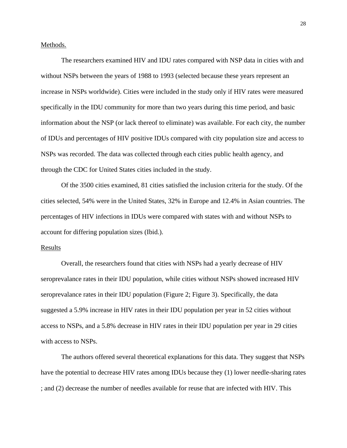Methods.

The researchers examined HIV and IDU rates compared with NSP data in cities with and without NSPs between the years of 1988 to 1993 (selected because these years represent an increase in NSPs worldwide). Cities were included in the study only if HIV rates were measured specifically in the IDU community for more than two years during this time period, and basic information about the NSP (or lack thereof to eliminate) was available. For each city, the number of IDUs and percentages of HIV positive IDUs compared with city population size and access to NSPs was recorded. The data was collected through each cities public health agency, and through the CDC for United States cities included in the study.

Of the 3500 cities examined, 81 cities satisfied the inclusion criteria for the study. Of the cities selected, 54% were in the United States, 32% in Europe and 12.4% in Asian countries. The percentages of HIV infections in IDUs were compared with states with and without NSPs to account for differing population sizes (Ibid.).

#### Results

Overall, the researchers found that cities with NSPs had a yearly decrease of HIV seroprevalance rates in their IDU population, while cities without NSPs showed increased HIV seroprevalance rates in their IDU population (Figure 2; Figure 3). Specifically, the data suggested a 5.9% increase in HIV rates in their IDU population per year in 52 cities without access to NSPs, and a 5.8% decrease in HIV rates in their IDU population per year in 29 cities with access to NSPs.

The authors offered several theoretical explanations for this data. They suggest that NSPs have the potential to decrease HIV rates among IDUs because they (1) lower needle-sharing rates ; and (2) decrease the number of needles available for reuse that are infected with HIV. This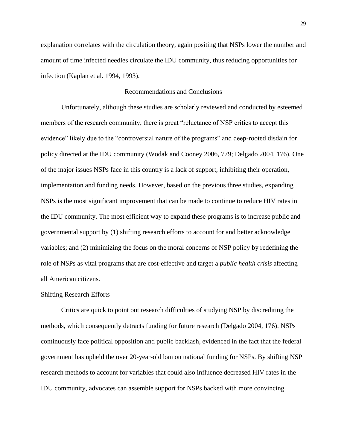explanation correlates with the circulation theory, again positing that NSPs lower the number and amount of time infected needles circulate the IDU community, thus reducing opportunities for infection (Kaplan et al. 1994, 1993).

## Recommendations and Conclusions

Unfortunately, although these studies are scholarly reviewed and conducted by esteemed members of the research community, there is great "reluctance of NSP critics to accept this evidence" likely due to the "controversial nature of the programs" and deep-rooted disdain for policy directed at the IDU community (Wodak and Cooney 2006, 779; Delgado 2004, 176). One of the major issues NSPs face in this country is a lack of support, inhibiting their operation, implementation and funding needs. However, based on the previous three studies, expanding NSPs is the most significant improvement that can be made to continue to reduce HIV rates in the IDU community. The most efficient way to expand these programs is to increase public and governmental support by (1) shifting research efforts to account for and better acknowledge variables; and (2) minimizing the focus on the moral concerns of NSP policy by redefining the role of NSPs as vital programs that are cost-effective and target a *public health crisis* affecting all American citizens.

#### Shifting Research Efforts

Critics are quick to point out research difficulties of studying NSP by discrediting the methods, which consequently detracts funding for future research (Delgado 2004, 176). NSPs continuously face political opposition and public backlash, evidenced in the fact that the federal government has upheld the over 20-year-old ban on national funding for NSPs. By shifting NSP research methods to account for variables that could also influence decreased HIV rates in the IDU community, advocates can assemble support for NSPs backed with more convincing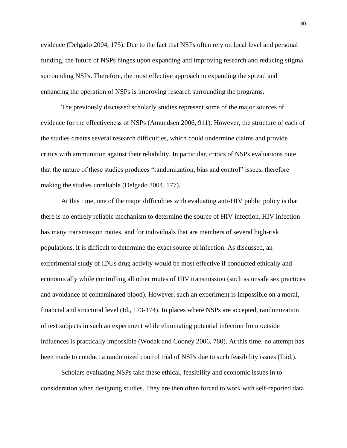evidence (Delgado 2004, 175). Due to the fact that NSPs often rely on local level and personal funding, the future of NSPs hinges upon expanding and improving research and reducing stigma surrounding NSPs. Therefore, the most effective approach to expanding the spread and enhancing the operation of NSPs is improving research surrounding the programs.

The previously discussed scholarly studies represent some of the major sources of evidence for the effectiveness of NSPs (Amundsen 2006, 911). However, the structure of each of the studies creates several research difficulties, which could undermine claims and provide critics with ammunition against their reliability. In particular, critics of NSPs evaluations note that the nature of these studies produces "randomization, bias and control" issues, therefore making the studies unreliable (Delgado 2004, 177).

At this time, one of the major difficulties with evaluating anti-HIV public policy is that there is no entirely reliable mechanism to determine the source of HIV infection. HIV infection has many transmission routes, and for individuals that are members of several high-risk populations, it is difficult to determine the exact source of infection. As discussed, an experimental study of IDUs drug activity would be most effective if conducted ethically and economically while controlling all other routes of HIV transmission (such as unsafe sex practices and avoidance of contaminated blood). However, such an experiment is impossible on a moral, financial and structural level (Id., 173-174). In places where NSPs are accepted, randomization of test subjects in such an experiment while eliminating potential infection from outside influences is practically impossible (Wodak and Cooney 2006, 780). At this time, no attempt has been made to conduct a randomized control trial of NSPs due to such feasibility issues (Ibid.).

Scholars evaluating NSPs take these ethical, feasibility and economic issues in to consideration when designing studies. They are then often forced to work with self-reported data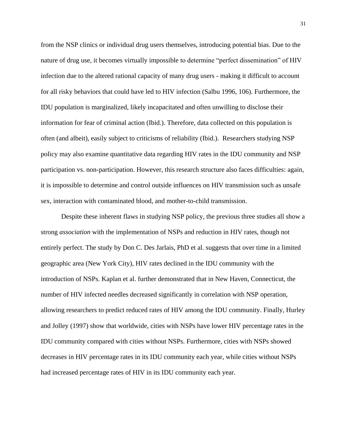from the NSP clinics or individual drug users themselves, introducing potential bias. Due to the nature of drug use, it becomes virtually impossible to determine "perfect dissemination" of HIV infection due to the altered rational capacity of many drug users - making it difficult to account for all risky behaviors that could have led to HIV infection (Salbu 1996, 106). Furthermore, the IDU population is marginalized, likely incapacitated and often unwilling to disclose their information for fear of criminal action (Ibid.). Therefore, data collected on this population is often (and albeit), easily subject to criticisms of reliability (Ibid.). Researchers studying NSP policy may also examine quantitative data regarding HIV rates in the IDU community and NSP participation vs. non-participation. However, this research structure also faces difficulties: again, it is impossible to determine and control outside influences on HIV transmission such as unsafe sex, interaction with contaminated blood, and mother-to-child transmission.

Despite these inherent flaws in studying NSP policy, the previous three studies all show a strong *association* with the implementation of NSPs and reduction in HIV rates, though not entirely perfect. The study by Don C. Des Jarlais, PhD et al. suggests that over time in a limited geographic area (New York City), HIV rates declined in the IDU community with the introduction of NSPs. Kaplan et al. further demonstrated that in New Haven, Connecticut, the number of HIV infected needles decreased significantly in correlation with NSP operation, allowing researchers to predict reduced rates of HIV among the IDU community. Finally, Hurley and Jolley (1997) show that worldwide, cities with NSPs have lower HIV percentage rates in the IDU community compared with cities without NSPs. Furthermore, cities with NSPs showed decreases in HIV percentage rates in its IDU community each year, while cities without NSPs had increased percentage rates of HIV in its IDU community each year.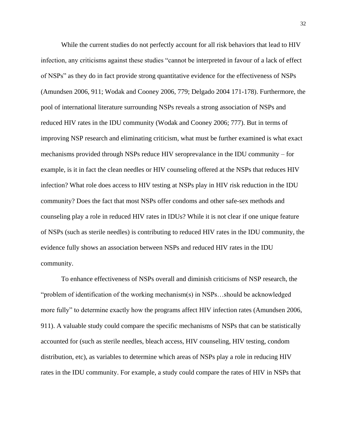While the current studies do not perfectly account for all risk behaviors that lead to HIV infection, any criticisms against these studies "cannot be interpreted in favour of a lack of effect of NSPs" as they do in fact provide strong quantitative evidence for the effectiveness of NSPs (Amundsen 2006, 911; Wodak and Cooney 2006, 779; Delgado 2004 171-178). Furthermore, the pool of international literature surrounding NSPs reveals a strong association of NSPs and reduced HIV rates in the IDU community (Wodak and Cooney 2006; 777). But in terms of improving NSP research and eliminating criticism, what must be further examined is what exact mechanisms provided through NSPs reduce HIV seroprevalance in the IDU community – for example, is it in fact the clean needles or HIV counseling offered at the NSPs that reduces HIV infection? What role does access to HIV testing at NSPs play in HIV risk reduction in the IDU community? Does the fact that most NSPs offer condoms and other safe-sex methods and counseling play a role in reduced HIV rates in IDUs? While it is not clear if one unique feature of NSPs (such as sterile needles) is contributing to reduced HIV rates in the IDU community, the evidence fully shows an association between NSPs and reduced HIV rates in the IDU community.

To enhance effectiveness of NSPs overall and diminish criticisms of NSP research, the "problem of identification of the working mechanism(s) in NSPs…should be acknowledged more fully" to determine exactly how the programs affect HIV infection rates (Amundsen 2006, 911). A valuable study could compare the specific mechanisms of NSPs that can be statistically accounted for (such as sterile needles, bleach access, HIV counseling, HIV testing, condom distribution, etc), as variables to determine which areas of NSPs play a role in reducing HIV rates in the IDU community. For example, a study could compare the rates of HIV in NSPs that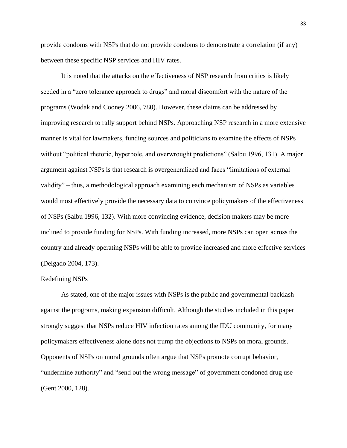provide condoms with NSPs that do not provide condoms to demonstrate a correlation (if any) between these specific NSP services and HIV rates.

It is noted that the attacks on the effectiveness of NSP research from critics is likely seeded in a "zero tolerance approach to drugs" and moral discomfort with the nature of the programs (Wodak and Cooney 2006, 780). However, these claims can be addressed by improving research to rally support behind NSPs. Approaching NSP research in a more extensive manner is vital for lawmakers, funding sources and politicians to examine the effects of NSPs without "political rhetoric, hyperbole, and overwrought predictions" (Salbu 1996, 131). A major argument against NSPs is that research is overgeneralized and faces "limitations of external validity" – thus, a methodological approach examining each mechanism of NSPs as variables would most effectively provide the necessary data to convince policymakers of the effectiveness of NSPs (Salbu 1996, 132). With more convincing evidence, decision makers may be more inclined to provide funding for NSPs. With funding increased, more NSPs can open across the country and already operating NSPs will be able to provide increased and more effective services (Delgado 2004, 173).

#### Redefining NSPs

As stated, one of the major issues with NSPs is the public and governmental backlash against the programs, making expansion difficult. Although the studies included in this paper strongly suggest that NSPs reduce HIV infection rates among the IDU community, for many policymakers effectiveness alone does not trump the objections to NSPs on moral grounds. Opponents of NSPs on moral grounds often argue that NSPs promote corrupt behavior, "undermine authority" and "send out the wrong message" of government condoned drug use (Gent 2000, 128).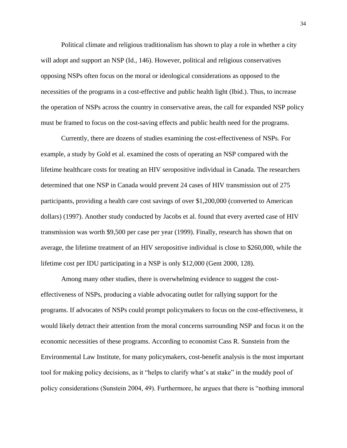Political climate and religious traditionalism has shown to play a role in whether a city will adopt and support an NSP (Id., 146). However, political and religious conservatives opposing NSPs often focus on the moral or ideological considerations as opposed to the necessities of the programs in a cost-effective and public health light (Ibid.). Thus, to increase the operation of NSPs across the country in conservative areas, the call for expanded NSP policy must be framed to focus on the cost-saving effects and public health need for the programs.

Currently, there are dozens of studies examining the cost-effectiveness of NSPs. For example, a study by Gold et al. examined the costs of operating an NSP compared with the lifetime healthcare costs for treating an HIV seropositive individual in Canada. The researchers determined that one NSP in Canada would prevent 24 cases of HIV transmission out of 275 participants, providing a health care cost savings of over \$1,200,000 (converted to American dollars) (1997). Another study conducted by Jacobs et al. found that every averted case of HIV transmission was worth \$9,500 per case per year (1999). Finally, research has shown that on average, the lifetime treatment of an HIV seropositive individual is close to \$260,000, while the lifetime cost per IDU participating in a NSP is only \$12,000 (Gent 2000, 128).

Among many other studies, there is overwhelming evidence to suggest the costeffectiveness of NSPs, producing a viable advocating outlet for rallying support for the programs. If advocates of NSPs could prompt policymakers to focus on the cost-effectiveness, it would likely detract their attention from the moral concerns surrounding NSP and focus it on the economic necessities of these programs. According to economist Cass R. Sunstein from the Environmental Law Institute, for many policymakers, cost-benefit analysis is the most important tool for making policy decisions, as it "helps to clarify what's at stake" in the muddy pool of policy considerations (Sunstein 2004, 49). Furthermore, he argues that there is "nothing immoral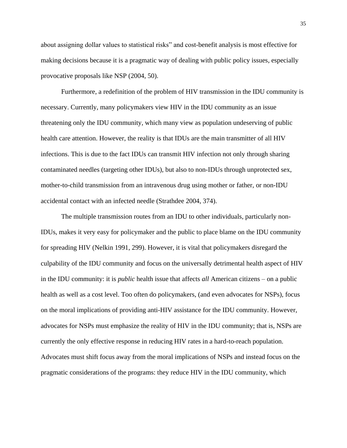about assigning dollar values to statistical risks" and cost-benefit analysis is most effective for making decisions because it is a pragmatic way of dealing with public policy issues, especially provocative proposals like NSP (2004, 50).

Furthermore, a redefinition of the problem of HIV transmission in the IDU community is necessary. Currently, many policymakers view HIV in the IDU community as an issue threatening only the IDU community, which many view as population undeserving of public health care attention. However, the reality is that IDUs are the main transmitter of all HIV infections. This is due to the fact IDUs can transmit HIV infection not only through sharing contaminated needles (targeting other IDUs), but also to non-IDUs through unprotected sex, mother-to-child transmission from an intravenous drug using mother or father, or non-IDU accidental contact with an infected needle (Strathdee 2004, 374).

The multiple transmission routes from an IDU to other individuals, particularly non-IDUs, makes it very easy for policymaker and the public to place blame on the IDU community for spreading HIV (Nelkin 1991, 299). However, it is vital that policymakers disregard the culpability of the IDU community and focus on the universally detrimental health aspect of HIV in the IDU community: it is *public* health issue that affects *all* American citizens – on a public health as well as a cost level. Too often do policymakers, (and even advocates for NSPs), focus on the moral implications of providing anti-HIV assistance for the IDU community. However, advocates for NSPs must emphasize the reality of HIV in the IDU community; that is, NSPs are currently the only effective response in reducing HIV rates in a hard-to-reach population. Advocates must shift focus away from the moral implications of NSPs and instead focus on the pragmatic considerations of the programs: they reduce HIV in the IDU community, which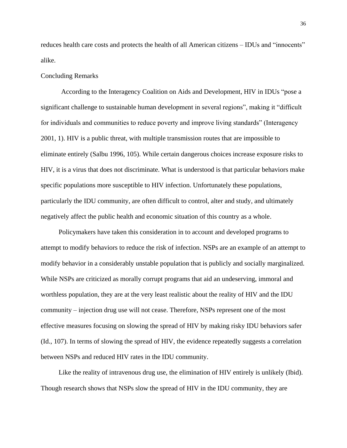reduces health care costs and protects the health of all American citizens – IDUs and "innocents" alike.

## Concluding Remarks

According to the Interagency Coalition on Aids and Development, HIV in IDUs "pose a significant challenge to sustainable human development in several regions", making it "difficult for individuals and communities to reduce poverty and improve living standards" (Interagency 2001, 1). HIV is a public threat, with multiple transmission routes that are impossible to eliminate entirely (Salbu 1996, 105). While certain dangerous choices increase exposure risks to HIV, it is a virus that does not discriminate. What is understood is that particular behaviors make specific populations more susceptible to HIV infection. Unfortunately these populations, particularly the IDU community, are often difficult to control, alter and study, and ultimately negatively affect the public health and economic situation of this country as a whole.

Policymakers have taken this consideration in to account and developed programs to attempt to modify behaviors to reduce the risk of infection. NSPs are an example of an attempt to modify behavior in a considerably unstable population that is publicly and socially marginalized. While NSPs are criticized as morally corrupt programs that aid an undeserving, immoral and worthless population, they are at the very least realistic about the reality of HIV and the IDU community – injection drug use will not cease. Therefore, NSPs represent one of the most effective measures focusing on slowing the spread of HIV by making risky IDU behaviors safer (Id., 107). In terms of slowing the spread of HIV, the evidence repeatedly suggests a correlation between NSPs and reduced HIV rates in the IDU community.

Like the reality of intravenous drug use, the elimination of HIV entirely is unlikely (Ibid). Though research shows that NSPs slow the spread of HIV in the IDU community, they are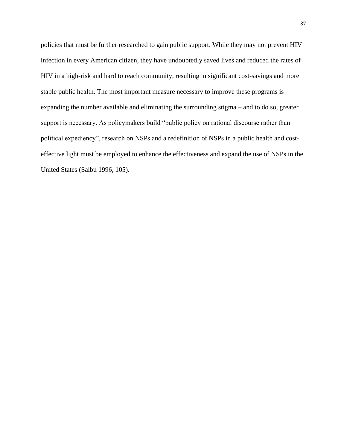policies that must be further researched to gain public support. While they may not prevent HIV infection in every American citizen, they have undoubtedly saved lives and reduced the rates of HIV in a high-risk and hard to reach community, resulting in significant cost-savings and more stable public health. The most important measure necessary to improve these programs is expanding the number available and eliminating the surrounding stigma – and to do so, greater support is necessary. As policymakers build "public policy on rational discourse rather than political expediency", research on NSPs and a redefinition of NSPs in a public health and costeffective light must be employed to enhance the effectiveness and expand the use of NSPs in the United States (Salbu 1996, 105).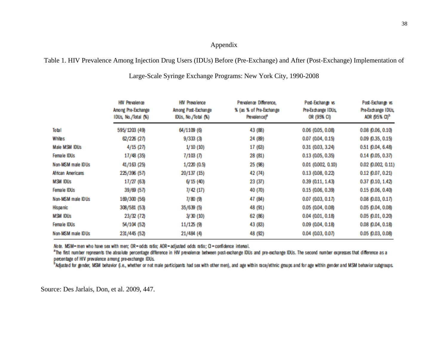## Appendix

## Table 1. HIV Prevalence Among Injection Drug Users (IDUs) Before (Pre-Exchange) and After (Post-Exchange) Implementation of

|                          | <b>HIV Prevalence</b><br>Among Pre-Exchange<br>IDUs, No./Total (%) | <b>HIV Prevalence</b><br>Among Post-Exchange<br>IDUs, No./Total (%) | Prevalence Difference,<br>% (as % of Pre-Exchange<br>Prevalence) <sup>®</sup> | Post-Exchange vs<br>Pre-Exchange IDUs,<br>or (95% CI) | Post-Exchange vs<br>Pre-Exchange IDUs,<br>AOR (95% CI) <sup>b</sup> |
|--------------------------|--------------------------------------------------------------------|---------------------------------------------------------------------|-------------------------------------------------------------------------------|-------------------------------------------------------|---------------------------------------------------------------------|
| Total                    | 595/1203 (49)                                                      | 64/1109 (6)                                                         | 43 (88)                                                                       | 0.06(0.05, 0.08)                                      | $0.08$ $(0.06, 0.10)$                                               |
| Whites                   | 62/226 (27)                                                        | 9/333(3)                                                            | 24 (89)                                                                       | 0.07 (0.04, 0.15)                                     | $0.09$ $(0.35, 0.15)$                                               |
| Male MSM IDUs            | 4/15 (27)                                                          | 1/10(10)                                                            | 17 (63)                                                                       | 0.31 (0.03, 3.24)                                     | 0.51 (0.04, 6.48)                                                   |
| Female IDUs              | 17/48 (35)                                                         | 7/103(7)                                                            | 28 (81)                                                                       | 0.13(0.05, 0.35)                                      | $0.14$ $(0.05, 0.37)$                                               |
| Non-MSM male IDUs        | 41/163 (25)                                                        | 1/220(0.5)                                                          | 25 (98)                                                                       | $0.01$ (0.002, 0.10)                                  | $0.02$ $(0.002, 0.11)$                                              |
| <b>African Americans</b> | 225/396 (57)                                                       | 20/137 (15)                                                         | 42 (74)                                                                       | 0.13(0.08, 0.22)                                      | $0.12$ $(0.07, 0.21)$                                               |
| <b>MSM IDUs</b>          | 17/27 (63)                                                         | 6/15(40)                                                            | 23 (37)                                                                       | 0.39(0.11, 1.43)                                      | 0.37 (0.10, 1.42)                                                   |
| Female IDUs              | 39/69 (57)                                                         | 7/42(17)                                                            | 40 (70)                                                                       | 0.15(0.06, 0.39)                                      | $0.15$ $(0.06, 0.40)$                                               |
| Non-MSM male IDUs        | 169/300 (56)                                                       | 7/80(9)                                                             | 47 (84)                                                                       | 0.07 (0.03, 0.17)                                     | $0.08$ $(0.03, 0.17)$                                               |
| <b>Hispanic</b>          | 308/581 (53)                                                       | 35/639(5)                                                           | 48 (91)                                                                       | 0.05 (0.04, 0.08)                                     | 0.05 (0.04, 0.08)                                                   |
| <b>MSM IDUs</b>          | 23/32 (72)                                                         | 3/30(10)                                                            | 62 (86)                                                                       | 0.04(0.01, 0.18)                                      | $0.05$ $(0.01, 0.20)$                                               |
| Female IDUs              | 54/104 (52)                                                        | 11/125(9)                                                           | 43 (83)                                                                       | 0.09(0.04, 0.18)                                      | $0.08$ $(0.04, 0.18)$                                               |
| Non-MSM male IDUs        | 231/445 (52)                                                       | 21/484 (4)                                                          | 48 (92)                                                                       | 0.04 (0.03, 0.07)                                     | 0.05 (0.03, 0.08)                                                   |

Large-Scale Syringe Exchange Programs: New York City, 1990-2008

Note. MSM-men who have sex with men; OR-odds ratio; AOR-adjusted odds ratio; CI-confidence interval.

<sup>a</sup>The first number represents the absolute percentage difference in HIV prevalence between post-exchange IDUs and pre-exchange IDUs. The second number expresses that difference as a percentage of HIV prevalence among pre-exchange IDUs.

<sup>b</sup>Adjusted for gender, MSM behavior (i.e., whether or not male participants had sex with other men), and age within race/ethnic groups and for age within gender and MSM behavior subgroups.

Source: Des Jarlais, Don, et al. 2009, 447.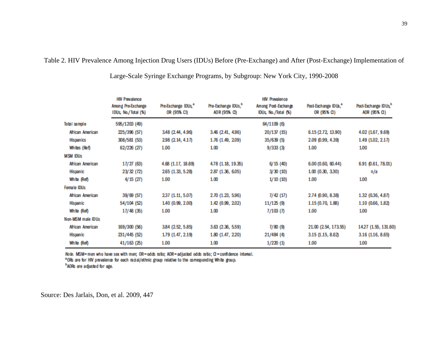Table 2. HIV Prevalence Among Injection Drug Users (IDUs) Before (Pre-Exchange) and After (Post-Exchange) Implementation of

|                   | <b>HIV Prevalence</b><br>Among Pre-Exchange<br>IDUs, No./Total (%) | Pre-Exchange IDUs, <sup>a</sup><br>OR (95% CI) | Pre-Exchange IDUs, <sup>b</sup><br>AOR (95% CI) | <b>HIV Prevalence</b><br>Among Post-Exchange<br>IDUs, No./Total (%) | Post-Exchange IDUs,"<br>OR (95% CI) | Post-Exchange IDUs, <sup>b</sup><br>AOR (95% CI) |
|-------------------|--------------------------------------------------------------------|------------------------------------------------|-------------------------------------------------|---------------------------------------------------------------------|-------------------------------------|--------------------------------------------------|
| Total sample      | 595/1203 (49)                                                      |                                                |                                                 | 64/1109 (6)                                                         |                                     |                                                  |
| African American  | 225/396 (57)                                                       | 3.48 (2.44, 4.96)                              | 3.46 (2.41, 4.96)                               | 20/137(15)                                                          | 6.15 (2.72, 13.90)                  | 4.02 (1.67, 9.69)                                |
| <b>Hispanics</b>  | 308/581 (53)                                                       | 298 (2.14, 4.17)                               | 1.76 (1.49, 2.09)                               | 35/639(5)                                                           | 2.09 (0.99, 4.39)                   | 1.49 (1.02, 2.17)                                |
| Whites (Ref)      | 62/226 (27)                                                        | 1.00                                           | 1.00                                            | 9/333(3)                                                            | 1.00                                | 1.00                                             |
| MSM IDUs          |                                                                    |                                                |                                                 |                                                                     |                                     |                                                  |
| African American  | 17/27 (63)                                                         | 4.68 (1.17, 18.69)                             | 4.78 (1.18, 19.35)                              | 6/15(40)                                                            | 6.00 (0.60, 60.44)                  | 6.91 (0.61, 78.01)                               |
| Hispanic          | 23/32 (72)                                                         | 265 (1.33, 5.28)                               | 2.87 (1.36, 6.05)                               | 3/30(10)                                                            | 1.00(0.30, 3.30)                    | n/a                                              |
| White (Ref)       | 4/15(27)                                                           | 1.00                                           | 1.00                                            | 1/10(10)                                                            | 1.00                                | 1.00                                             |
| Female IDUs       |                                                                    |                                                |                                                 |                                                                     |                                     |                                                  |
| African American  | 39/69 (57)                                                         | 237 (1.11, 5.07)                               | 2.70 (1.23, 5.96)                               | 7/42(17)                                                            | 2.74 (0.90, 8.38)                   | 1.32 (0.36, 4.87)                                |
| Hispanic          | 54/104 (52)                                                        | 1.40 (0.99, 2.00)                              | 1.42 (0.99, 2.02)                               | 11/125(9)                                                           | 1.15 (0.70, 1.88)                   | 1.10 (0.66, 1.82)                                |
| White (Ref)       | 17/48 (35)                                                         | 1.00                                           | 1.00                                            | 7/103(7)                                                            | 1.00                                | 1.00                                             |
| Non-MSM male IDUs |                                                                    |                                                |                                                 |                                                                     |                                     |                                                  |
| African American  | 169/300 (56)                                                       | 3.84 (2.52, 5.85)                              | 3.63 (2.36, 5.59)                               | 7/80 (9)                                                            | 21.00 (2.54, 173.55)                | 14.27 (1.55, 131.60)                             |
| Hispanic          | 231/445 (52)                                                       | 1.79 (1.47, 2.19)                              | 1.80 (1.47, 2.20)                               | 21/484 (4)                                                          | 3.15 (1.15, 8.62)                   | 3.16 (1.16, 8.65)                                |
| White (Ref)       | 41/163 (25)                                                        | 1.00                                           | 1.00                                            | 1/220(1)                                                            | 1.00                                | 1.00                                             |

Large-Scale Syringe Exchange Programs, by Subgroup: New York City, 1990-2008

Note. MSM-men who have sex with men; OR-odds ratio; AOR-adjusted odds ratio; CI-confidence interval.

<sup>a</sup>ORs are for HIV prevalence for each racial/ethnic group relative to the corresponding White group.

<sup>b</sup> AORs are adjusted for age.

Source: Des Jarlais, Don, et al. 2009, 447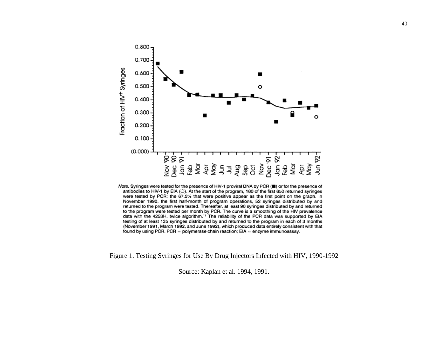

Note. Syringes were tested for the presence of HIV-1 proviral DNA by PCR (") or for the presence of antibodies to HIV-1 by EIA (O). At the start of the program, 160 of the first 650 returned syringes were tested by PCR; the 67.5% that were positive appear as the first point on the graph. In November 1990, the first half-month of program operations, 52 syringes distributed by and returned to the program were tested. Thereafter, at least 90 syringes distributed by and returned to the program were tested per month by PCR. The curve is a smoothing of the HIV prevalence data with the 4253H, twice algorithm.<sup>17</sup> The reliability of the PCR data was supported by EIA testing of at least 135 syringes distributed by and returned to the program in each of 3 months (November 1991, March 1992, and June 1992), which produced data entirely consistent with that found by using PCR. PCR = polymerase chain reaction; EIA = enzyme immunoassay.

Figure 1. Testing Syringes for Use By Drug Injectors Infected with HIV, 1990-1992

Source: Kaplan et al. 1994, 1991.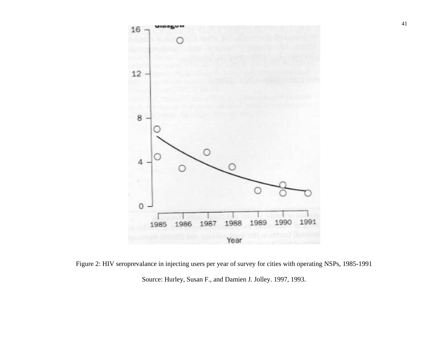

Figure 2: HIV seroprevalance in injecting users per year of survey for cities with operating NSPs, 1985-1991 Source: Hurley, Susan F., and Damien J. Jolley. 1997, 1993.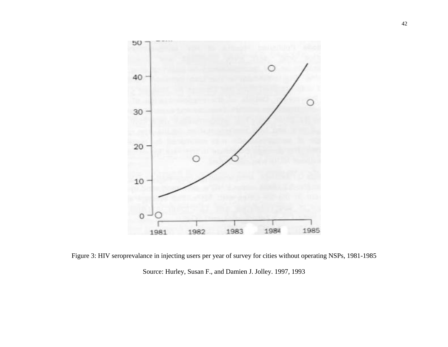

Figure 3: HIV seroprevalance in injecting users per year of survey for cities without operating NSPs, 1981-1985 Source: Hurley, Susan F., and Damien J. Jolley. 1997, 1993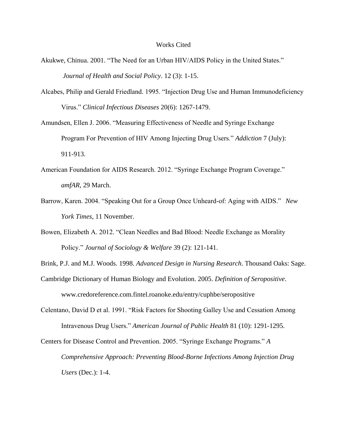#### Works Cited

- Akukwe, Chinua. 2001. "The Need for an Urban HIV/AIDS Policy in the United States." *Journal of Health and Social Policy*. 12 (3): 1-15.
- Alcabes, Philip and Gerald Friedland. 1995. "Injection Drug Use and Human Immunodeficiency Virus." *Clinical Infectious Diseases* 20(6): 1267-1479.
- Amundsen, Ellen J. 2006. "Measuring Effectiveness of Needle and Syringe Exchange Program For Prevention of HIV Among Injecting Drug Users." *Addiction* 7 (July): 911-913.
- American Foundation for AIDS Research. 2012. "Syringe Exchange Program Coverage." *amfAR,* 29 March.
- Barrow, Karen. 2004. "Speaking Out for a Group Once Unheard-of: Aging with AIDS." *New York Times*, 11 November.
- Bowen, Elizabeth A. 2012. "Clean Needles and Bad Blood: Needle Exchange as Morality Policy." *Journal of Sociology & Welfare* 39 (2): 121-141.
- Brink, P.J. and M.J. Woods. 1998. *Advanced Design in Nursing Research*. Thousand Oaks: Sage.
- Cambridge Dictionary of Human Biology and Evolution. 2005. *Definition of Seropositive*. www.credoreference.com.fintel.roanoke.edu/entry/cuphbe/seropositive
- Celentano, David D et al. 1991. "Risk Factors for Shooting Galley Use and Cessation Among Intravenous Drug Users." *American Journal of Public Health* 81 (10): 1291-1295.
- Centers for Disease Control and Prevention. 2005. "Syringe Exchange Programs." *A Comprehensive Approach: Preventing Blood-Borne Infections Among Injection Drug Users* (Dec.): 1-4.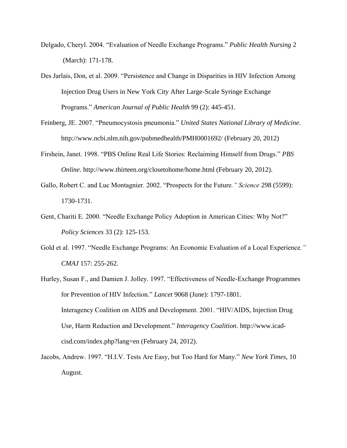- Delgado, Cheryl. 2004. "Evaluation of Needle Exchange Programs." *Public Health Nursing* 2 (March): 171-178.
- Des Jarlais, Don, et al. 2009. "Persistence and Change in Disparities in HIV Infection Among Injection Drug Users in New York City After Large-Scale Syringe Exchange Programs." *American Journal of Public Health* 99 (2): 445-451.
- Feinberg, JE. 2007. "Pneumocystosis pneumonia." *United States National Library of Medicine*. http://www.ncbi.nlm.nih.gov/pubmedhealth/PMH0001692/ (February 20, 2012)
- Firshein, Janet. 1998. "PBS Online Real Life Stories: Reclaiming Himself from Drugs." *PBS Online*. http://www.thirteen.org/closetohome/home.html (February 20, 2012).
- Gallo, Robert C. and Luc Montagnier. 2002. "Prospects for the Future*." Science* 298 (5599): 1730-1731.
- Gent, Chariti E. 2000. "Needle Exchange Policy Adoption in American Cities: Why Not?" *Policy Sciences* 33 (2): 125-153.
- Gold et al. 1997. "Needle Exchange Programs: An Economic Evaluation of a Local Experience*." CMAJ* 157: 255-262.
- Hurley, Susan F., and Damien J. Jolley. 1997. "Effectiveness of Needle-Exchange Programmes for Prevention of HIV Infection." *Lancet* 9068 (June): 1797-1801. Interagency Coalition on AIDS and Development. 2001. "HIV/AIDS, Injection Drug Use, Harm Reduction and Development." *Interagency Coalition*. http://www.icadcisd.com/index.php?lang=en (February 24, 2012).
- Jacobs, Andrew. 1997. "H.I.V. Tests Are Easy, but Too Hard for Many." *New York Times*, 10 August.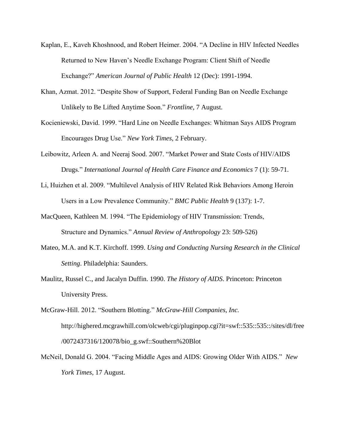- Kaplan, E., Kaveh Khoshnood, and Robert Heimer. 2004. "A Decline in HIV Infected Needles Returned to New Haven's Needle Exchange Program: Client Shift of Needle Exchange?" *American Journal of Public Health* 12 (Dec): 1991-1994.
- Khan, Azmat. 2012. "Despite Show of Support, Federal Funding Ban on Needle Exchange Unlikely to Be Lifted Anytime Soon." *Frontline,* 7 August.
- Kocieniewski, David. 1999. "Hard Line on Needle Exchanges: Whitman Says AIDS Program Encourages Drug Use." *New York Times*, 2 February.
- Leibowitz, Arleen A. and Neeraj Sood. 2007. "Market Power and State Costs of HIV/AIDS Drugs." *International Journal of Health Care Finance and Economics* 7 (1): 59-71.
- Li, Huizhen et al. 2009. "Multilevel Analysis of HIV Related Risk Behaviors Among Heroin Users in a Low Prevalence Community." *BMC Public Health* 9 (137): 1-7.
- MacQueen, Kathleen M. 1994. "The Epidemiology of HIV Transmission: Trends, Structure and Dynamics." *Annual Review of Anthropology* 23: 509-526)
- Mateo, M.A. and K.T. Kirchoff. 1999. *Using and Conducting Nursing Research in the Clinical Setting*. Philadelphia: Saunders.
- Maulitz, Russel C., and Jacalyn Duffin. 1990. *The History of AIDS*. Princeton: Princeton University Press.
- McGraw-Hill. 2012. "Southern Blotting." *McGraw-Hill Companies, Inc.*  http://highered.mcgrawhill.com/olcweb/cgi/pluginpop.cgi?it=swf::535::535::/sites/dl/free /0072437316/120078/bio\_g.swf::Southern%20Blot
- McNeil, Donald G. 2004. "Facing Middle Ages and AIDS: Growing Older With AIDS." *New York Times*, 17 August.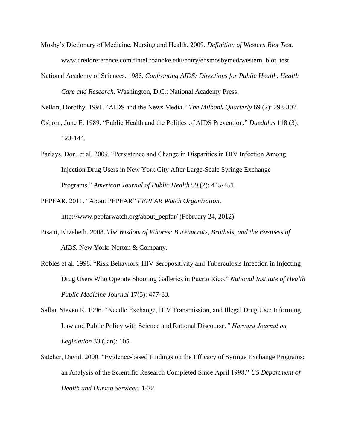- Mosby's Dictionary of Medicine, Nursing and Health. 2009. *Definition of Western Blot Test*. www.credoreference.com.fintel.roanoke.edu/entry/ehsmosbymed/western\_blot\_test
- National Academy of Sciences. 1986. *Confronting AIDS: Directions for Public Health, Health Care and Research*. Washington, D.C.: National Academy Press.

Nelkin, Dorothy. 1991. "AIDS and the News Media." *The Milbank Quarterly* 69 (2): 293-307.

- Osborn, June E. 1989. "Public Health and the Politics of AIDS Prevention." *Daedalus* 118 (3): 123-144.
- Parlays, Don, et al. 2009. "Persistence and Change in Disparities in HIV Infection Among Injection Drug Users in New York City After Large-Scale Syringe Exchange Programs." *American Journal of Public Health* 99 (2): 445-451.
- PEPFAR. 2011. "About PEPFAR" *PEPFAR Watch Organization*. http://www.pepfarwatch.org/about\_pepfar/ (February 24, 2012)
- Pisani, Elizabeth. 2008. *The Wisdom of Whores: Bureaucrats, Brothels, and the Business of AIDS.* New York: Norton & Company.
- Robles et al. 1998. "Risk Behaviors, HIV Seropositivity and Tuberculosis Infection in Injecting Drug Users Who Operate Shooting Galleries in Puerto Rico." *National Institute of Health Public Medicine Journal* 17(5): 477-83.
- Salbu, Steven R. 1996. "Needle Exchange, HIV Transmission, and Illegal Drug Use: Informing Law and Public Policy with Science and Rational Discourse*." Harvard Journal on Legislation* 33 (Jan): 105.
- Satcher, David. 2000. "Evidence-based Findings on the Efficacy of Syringe Exchange Programs: an Analysis of the Scientific Research Completed Since April 1998." *US Department of Health and Human Services:* 1-22.